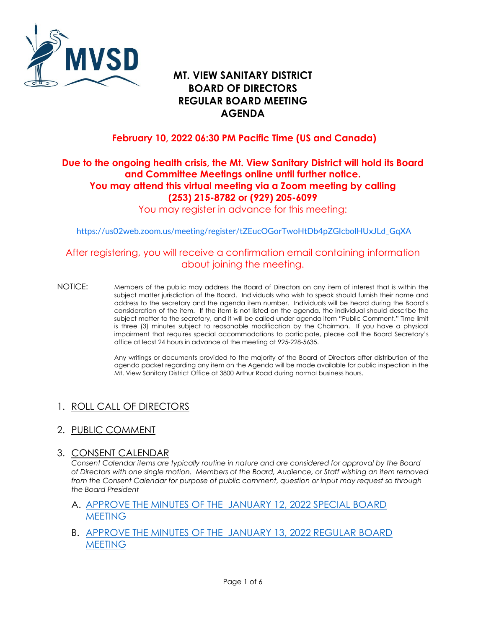

# **REGULAR BOARD MEETING AGENDA MT. VIEW SANITARY DISTRICT BOARD OF DIRECTORS**

# **February 10, 2022 06:30 PM Pacific Time (US and Canada)**

# **Due to the ongoing health crisis, the Mt. View Sanitary District will hold its Board and Committee Meetings online until further notice. You may attend this virtual meeting via a Zoom meeting by calling (253) 215-8782 or (929) 205-6099**

You may register in advance for this meeting:

[https://us02web.zoom.us/meeting/register/tZEucOGorTwoHtDb4pZGIcbolHUxJLd\\_GqXA](https://us02web.zoom.us/meeting/register/tZEucOGorTwoHtDb4pZGIcbolHUxJLd_GqXA) 

### After registering, you will receive a confirmation email containing information about joining the meeting.

 NOTICE: Members of the public may address the Board of Directors on any item of interest that is within the address to the secretary and the agenda item number. Individuals will be heard during the Board's consideration of the item. If the item is not listed on the agenda, the individual should describe the subject matter to the secretary, and it will be called under agenda item "Public Comment." Time limit is three (3) minutes subject to reasonable modification by the Chairman. If you have a physical subject matter jurisdiction of the Board. Individuals who wish to speak should furnish their name and impairment that requires special accommodations to participate, please call the Board Secretary's office at least 24 hours in advance of the meeting at 925-228-5635.

> Any writings or documents provided to the majority of the Board of Directors after distribution of the agenda packet regarding any item on the Agenda will be made available for public inspection in the Mt. View Sanitary District Office at 3800 Arthur Road during normal business hours.

# 1. ROLL CALL OF DIRECTORS

2. PUBLIC COMMENT

#### 3. CONSENT CALENDAR

 *Consent Calendar items are typically routine in nature and are considered for approval by the Board from the Consent Calendar for purpose of public comment, question or input may request so through of Directors with one single motion. Members of the Board, Audience, or Staff wishing an item removed the Board President* 

#### A. [APPROVE THE MINUTES OF THE JANUARY 12, 2022 SPECIAL BOARD](https://www.mvsd.org/files/9267b766e/2022-2-10+ITEM+3A.pdf)  **MEETING**

B. [APPROVE THE MINUTES OF THE JANUARY 13, 2022 REGULAR BOARD](https://www.mvsd.org/files/11b5cb600/2022-2-10+ITEM+3B.pdf)  [MEETING](https://www.mvsd.org/files/11b5cb600/2022-2-10+ITEM+3B.pdf)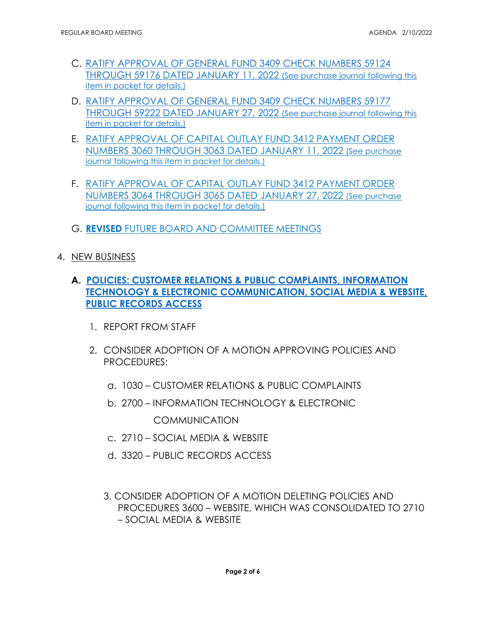- [THROUGH 59176 DATED JANUARY 11, 2022 \(See purchase journal following this](https://www.mvsd.org/files/975cbb17e/2022-2-10+ITEM+3C.pdf)  C. [RATIFY APPROVAL OF GENERAL FUND 3409 CHECK NUMBERS 59124](https://www.mvsd.org/files/975cbb17e/2022-2-10+ITEM+3C.pdf)  item in packet for details.)
- D. [RATIFY APPROVAL OF GENERAL FUND 3409 CHECK NUMBERS 59177](https://www.mvsd.org/files/0963e258f/2022-2-10+ITEM+3D.pdf)  [THROUGH 59222 DATED JANUARY 27, 2022 \(See purchase journal following this](https://www.mvsd.org/files/0963e258f/2022-2-10+ITEM+3D.pdf)  [item in packet for details.\)](https://www.mvsd.org/files/0963e258f/2022-2-10+ITEM+3D.pdf)
- E. [RATIFY APPROVAL OF CAPITAL OUTLAY FUND 3412 PAYMENT ORDER](https://www.mvsd.org/files/857a9684e/2022-2-10+ITEM+3E.pdf)  [NUMBERS 3060 THROUGH 3063 DATED JANUARY 11, 2022 \(See purchase](https://www.mvsd.org/files/857a9684e/2022-2-10+ITEM+3E.pdf)  [journal following this item in packet for details.\)](https://www.mvsd.org/files/857a9684e/2022-2-10+ITEM+3E.pdf)
- F. [RATIFY APPROVAL OF CAPITAL OUTLAY FUND 3412 PAYMENT ORDER](https://www.mvsd.org/files/9e9218f28/2022-2-10+ITEM+3F.pdf)  [NUMBERS 3064 THROUGH 3065 DATED JANUARY 27, 2022 \(See purchase](https://www.mvsd.org/files/9e9218f28/2022-2-10+ITEM+3F.pdf)  [journal following this item in packet for details.\)](https://www.mvsd.org/files/9e9218f28/2022-2-10+ITEM+3F.pdf)
- G. **REVISED** [FUTURE BOARD AND COMMITTEE MEETINGS](https://www.mvsd.org/files/9f54b84cd/2022-2-10+ITEM+3G-REVISED.pdf)
- 4. NEW BUSINESS
	- **A. [POLICIES: CUSTOMER RELATIONS & PUBLIC COMPLAINTS, INFORMATION](https://www.mvsd.org/files/09b293a69/2022-2-10+ITEM+4A.pdf)  [TECHNOLOGY & ELECTRONIC COMMUNICATION, SOCIAL MEDIA & WEBSITE,](https://www.mvsd.org/files/09b293a69/2022-2-10+ITEM+4A.pdf)  [PUBLIC RECORDS ACCESS](https://www.mvsd.org/files/09b293a69/2022-2-10+ITEM+4A.pdf)** 
		- 1. REPORT FROM STAFF
		- 2. CONSIDER ADOPTION OF A MOTION APPROVING POLICIES AND PROCEDURES:
			- a. 1030 CUSTOMER RELATIONS & PUBLIC COMPLAINTS
			- b. 2700 INFORMATION TECHNOLOGY & ELECTRONIC

COMMUNICATION

- c. 2710 SOCIAL MEDIA & WEBSITE
- d. 3320 PUBLIC RECORDS ACCESS
- 3. CONSIDER ADOPTION OF A MOTION DELETING POLICIES AND PROCEDURES 3600 – WEBSITE, WHICH WAS CONSOLIDATED TO 2710 – SOCIAL MEDIA & WEBSITE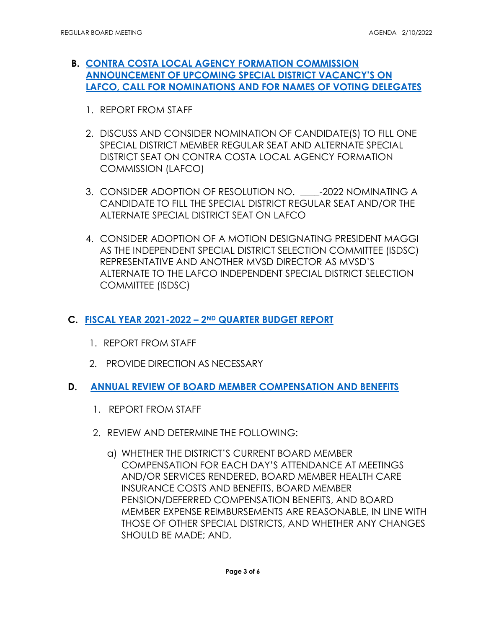- **B. [CONTRA COSTA LOCAL AGENCY FORMATION COMMISSION](https://www.mvsd.org/files/0df4ba54a/2022-2-10+ITEM+4B.pdf)  [ANNOUNCEMENT OF UPCOMING SPECIAL DISTRICT VACANCY'S ON](https://www.mvsd.org/files/0df4ba54a/2022-2-10+ITEM+4B.pdf)  [LAFCO, CALL FOR NOMINATIONS AND FOR NAMES OF VOTING DELEGATES](https://www.mvsd.org/files/0df4ba54a/2022-2-10+ITEM+4B.pdf)** 
	- 1. REPORT FROM STAFF
	- 2. DISCUSS AND CONSIDER NOMINATION OF CANDIDATE(S) TO FILL ONE SPECIAL DISTRICT MEMBER REGULAR SEAT AND ALTERNATE SPECIAL DISTRICT SEAT ON CONTRA COSTA LOCAL AGENCY FORMATION COMMISSION (LAFCO)
	- 3. CONSIDER ADOPTION OF RESOLUTION NO. \_\_\_\_-2022 NOMINATING A CANDIDATE TO FILL THE SPECIAL DISTRICT REGULAR SEAT AND/OR THE ALTERNATE SPECIAL DISTRICT SEAT ON LAFCO
	- AS THE INDEPENDENT SPECIAL DISTRICT SELECTION COMMITTEE (ISDSC) REPRESENTATIVE AND ANOTHER MVSD DIRECTOR AS MVSD'S COMMITTEE (ISDSC) 4. CONSIDER ADOPTION OF A MOTION DESIGNATING PRESIDENT MAGGI ALTERNATE TO THE LAFCO INDEPENDENT SPECIAL DISTRICT SELECTION
- **C. [FISCAL YEAR 2021-2022 2ND QUARTER BUDGET REPORT](https://www.mvsd.org/files/96c24cf54/2022-2-10+ITEM+4C.pdf)** 
	- 1. REPORT FROM STAFF
	- 2. PROVIDE DIRECTION AS NECESSARY
- D. **D. [ANNUAL REVIEW OF BOARD MEMBER COMPENSATION AND BENEFITS](https://www.mvsd.org/files/b45fe82c2/2022-2-10+ITEM+4D.pdf)** 
	- 1. REPORT FROM STAFF
	- 2. REVIEW AND DETERMINE THE FOLLOWING:
		- a) WHETHER THE DISTRICT'S CURRENT BOARD MEMBER INSURANCE COSTS AND BENEFITS, BOARD MEMBER MEMBER EXPENSE REIMBURSEMENTS ARE REASONABLE, IN LINE WITH COMPENSATION FOR EACH DAY'S ATTENDANCE AT MEETINGS AND/OR SERVICES RENDERED, BOARD MEMBER HEALTH CARE PENSION/DEFERRED COMPENSATION BENEFITS, AND BOARD THOSE OF OTHER SPECIAL DISTRICTS, AND WHETHER ANY CHANGES SHOULD BE MADE; AND,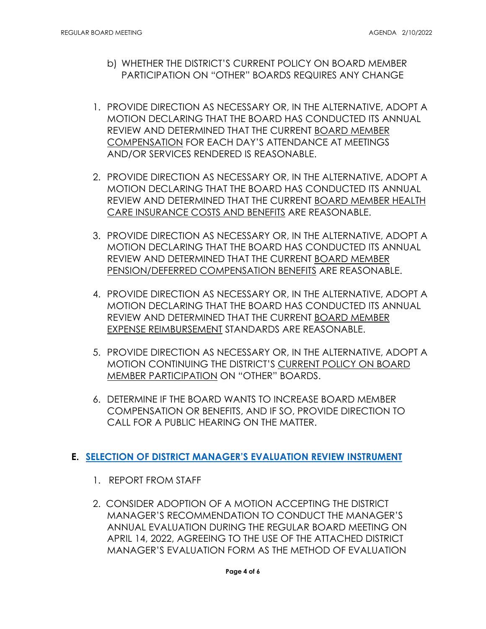- b) WHETHER THE DISTRICT'S CURRENT POLICY ON BOARD MEMBER PARTICIPATION ON "OTHER" BOARDS REQUIRES ANY CHANGE
- 1. PROVIDE DIRECTION AS NECESSARY OR, IN THE ALTERNATIVE, ADOPT A MOTION DECLARING THAT THE BOARD HAS CONDUCTED ITS ANNUAL REVIEW AND DETERMINED THAT THE CURRENT BOARD MEMBER COMPENSATION FOR EACH DAY'S ATTENDANCE AT MEETINGS AND/OR SERVICES RENDERED IS REASONABLE.
- 2. PROVIDE DIRECTION AS NECESSARY OR, IN THE ALTERNATIVE, ADOPT A MOTION DECLARING THAT THE BOARD HAS CONDUCTED ITS ANNUAL REVIEW AND DETERMINED THAT THE CURRENT BOARD MEMBER HEALTH CARE INSURANCE COSTS AND BENEFITS ARE REASONABLE.
- 3. PROVIDE DIRECTION AS NECESSARY OR, IN THE ALTERNATIVE, ADOPT A MOTION DECLARING THAT THE BOARD HAS CONDUCTED ITS ANNUAL REVIEW AND DETERMINED THAT THE CURRENT BOARD MEMBER PENSION/DEFERRED COMPENSATION BENEFITS ARE REASONABLE.
- 4. PROVIDE DIRECTION AS NECESSARY OR, IN THE ALTERNATIVE, ADOPT A MOTION DECLARING THAT THE BOARD HAS CONDUCTED ITS ANNUAL REVIEW AND DETERMINED THAT THE CURRENT BOARD MEMBER EXPENSE REIMBURSEMENT STANDARDS ARE REASONABLE.
- 5. PROVIDE DIRECTION AS NECESSARY OR, IN THE ALTERNATIVE, ADOPT A MOTION CONTINUING THE DISTRICT'S CURRENT POLICY ON BOARD MEMBER PARTICIPATION ON "OTHER" BOARDS.
- COMPENSATION OR BENEFITS, AND IF SO, PROVIDE DIRECTION TO 6. DETERMINE IF THE BOARD WANTS TO INCREASE BOARD MEMBER CALL FOR A PUBLIC HEARING ON THE MATTER.

#### **E. [SELECTION OF DISTRICT MANAGER'S EVALUATION REVIEW INSTRUMENT](https://www.mvsd.org/files/812c4451a/2022-2-10+ITEM+4E.pdf)**

- 1. REPORT FROM STAFF
- 2. CONSIDER ADOPTION OF A MOTION ACCEPTING THE DISTRICT MANAGER'S RECOMMENDATION TO CONDUCT THE MANAGER'S ANNUAL EVALUATION DURING THE REGULAR BOARD MEETING ON APRIL 14, 2022, AGREEING TO THE USE OF THE ATTACHED DISTRICT MANAGER'S EVALUATION FORM AS THE METHOD OF EVALUATION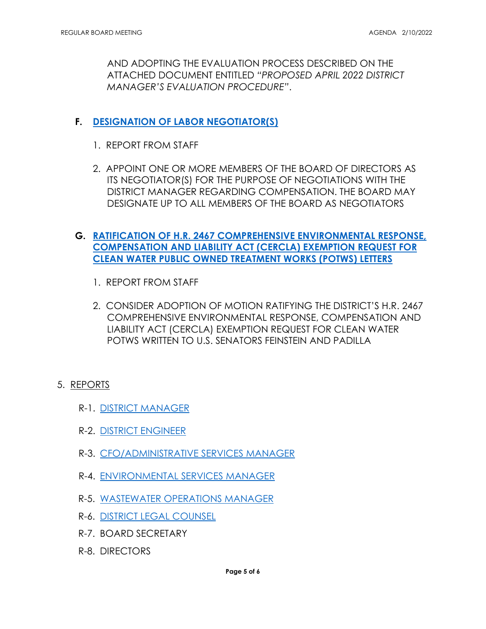AND ADOPTING THE EVALUATION PROCESS DESCRIBED ON THE ATTACHED DOCUMENT ENTITLED *"PROPOSED APRIL 2022 DISTRICT MANAGER'S EVALUATION PROCEDURE"*.

# **F. [DESIGNATION OF LABOR NEGOTIATOR\(S\)](https://www.mvsd.org/files/46ce7a029/2022-2-10+ITEM+4F.pdf)**

- 1. REPORT FROM STAFF
- 2. APPOINT ONE OR MORE MEMBERS OF THE BOARD OF DIRECTORS AS DESIGNATE UP TO ALL MEMBERS OF THE BOARD AS NEGOTIATORS ITS NEGOTIATOR(S) FOR THE PURPOSE OF NEGOTIATIONS WITH THE DISTRICT MANAGER REGARDING COMPENSATION. THE BOARD MAY

# **G. [RATIFICATION OF H.R. 2467 COMPREHENSIVE ENVIRONMENTAL RESPONSE,](https://www.mvsd.org/files/00c6bab4b/2022-2-10+ITEM+4G.pdf)  [COMPENSATION AND LIABILITY ACT \(CERCLA\) EXEMPTION REQUEST FOR](https://www.mvsd.org/files/00c6bab4b/2022-2-10+ITEM+4G.pdf)  [CLEAN WATER PUBLIC OWNED TREATMENT WORKS \(POTWS\) LETTERS](https://www.mvsd.org/files/00c6bab4b/2022-2-10+ITEM+4G.pdf)**

- 1. REPORT FROM STAFF
- 2. CONSIDER ADOPTION OF MOTION RATIFYING THE DISTRICT'S H.R. 2467 COMPREHENSIVE ENVIRONMENTAL RESPONSE, COMPENSATION AND LIABILITY ACT (CERCLA) EXEMPTION REQUEST FOR CLEAN WATER POTWS WRITTEN TO U.S. SENATORS FEINSTEIN AND PADILLA

#### 5. <u>REPORTS</u>

- R-1. [DISTRICT MANAGER](https://www.mvsd.org/files/894303445/2022-2-10+ITEM+5R1.pdf)
- R-2. [DISTRICT ENGINEER](https://www.mvsd.org/files/9e497e52b/2022-2-10+ITEM+5R2.pdf)
- R-3. [CFO/ADMINISTRATIVE SERVICES MANAGER](https://www.mvsd.org/files/1f3772f75/2022-2-10+ITEM+5R3.pdf)
- R-4. [ENVIRONMENTAL SERVICES MANAGER](https://www.mvsd.org/files/28f73ea99/2022-2-10+ITEM+5R4.pdf)
- R-5. <u>WASTEWATER OPERATIONS MANAGER</u><br>R-6. <u>DISTRICT LEGAL COUNSEL</u>
- 
- R-7. BOARD SECRETARY
- R-8. DIRECTORS